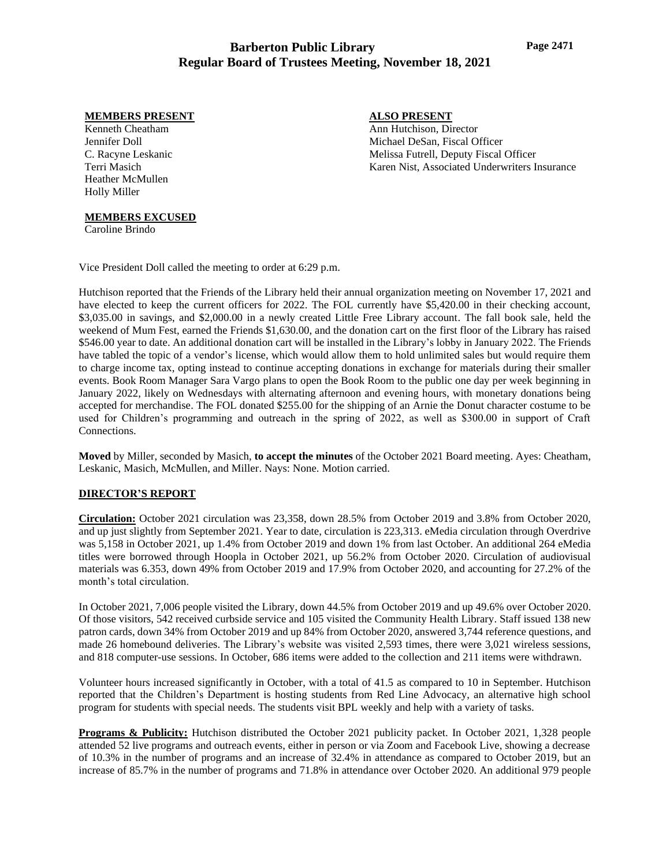# **Barberton Public Library Regular Board of Trustees Meeting, November 18, 2021**

## **MEMBERS PRESENT**

Kenneth Cheatham Jennifer Doll C. Racyne Leskanic Terri Masich Heather McMullen Holly Miller

## **ALSO PRESENT**

Ann Hutchison, Director Michael DeSan, Fiscal Officer Melissa Futrell, Deputy Fiscal Officer Karen Nist, Associated Underwriters Insurance

### **MEMBERS EXCUSED**

Caroline Brindo

Vice President Doll called the meeting to order at 6:29 p.m.

Hutchison reported that the Friends of the Library held their annual organization meeting on November 17, 2021 and have elected to keep the current officers for 2022. The FOL currently have \$5,420.00 in their checking account, \$3,035.00 in savings, and \$2,000.00 in a newly created Little Free Library account. The fall book sale, held the weekend of Mum Fest, earned the Friends \$1,630.00, and the donation cart on the first floor of the Library has raised \$546.00 year to date. An additional donation cart will be installed in the Library's lobby in January 2022. The Friends have tabled the topic of a vendor's license, which would allow them to hold unlimited sales but would require them to charge income tax, opting instead to continue accepting donations in exchange for materials during their smaller events. Book Room Manager Sara Vargo plans to open the Book Room to the public one day per week beginning in January 2022, likely on Wednesdays with alternating afternoon and evening hours, with monetary donations being accepted for merchandise. The FOL donated \$255.00 for the shipping of an Arnie the Donut character costume to be used for Children's programming and outreach in the spring of 2022, as well as \$300.00 in support of Craft Connections.

**Moved** by Miller, seconded by Masich, **to accept the minutes** of the October 2021 Board meeting. Ayes: Cheatham, Leskanic, Masich, McMullen, and Miller. Nays: None. Motion carried.

## **DIRECTOR'S REPORT**

**Circulation:** October 2021 circulation was 23,358, down 28.5% from October 2019 and 3.8% from October 2020, and up just slightly from September 2021. Year to date, circulation is 223,313. eMedia circulation through Overdrive was 5,158 in October 2021, up 1.4% from October 2019 and down 1% from last October. An additional 264 eMedia titles were borrowed through Hoopla in October 2021, up 56.2% from October 2020. Circulation of audiovisual materials was 6.353, down 49% from October 2019 and 17.9% from October 2020, and accounting for 27.2% of the month's total circulation.

In October 2021, 7,006 people visited the Library, down 44.5% from October 2019 and up 49.6% over October 2020. Of those visitors, 542 received curbside service and 105 visited the Community Health Library. Staff issued 138 new patron cards, down 34% from October 2019 and up 84% from October 2020, answered 3,744 reference questions, and made 26 homebound deliveries. The Library's website was visited 2,593 times, there were 3,021 wireless sessions, and 818 computer-use sessions. In October, 686 items were added to the collection and 211 items were withdrawn.

Volunteer hours increased significantly in October, with a total of 41.5 as compared to 10 in September. Hutchison reported that the Children's Department is hosting students from Red Line Advocacy, an alternative high school program for students with special needs. The students visit BPL weekly and help with a variety of tasks.

**Programs & Publicity:** Hutchison distributed the October 2021 publicity packet. In October 2021, 1,328 people attended 52 live programs and outreach events, either in person or via Zoom and Facebook Live, showing a decrease of 10.3% in the number of programs and an increase of 32.4% in attendance as compared to October 2019, but an increase of 85.7% in the number of programs and 71.8% in attendance over October 2020. An additional 979 people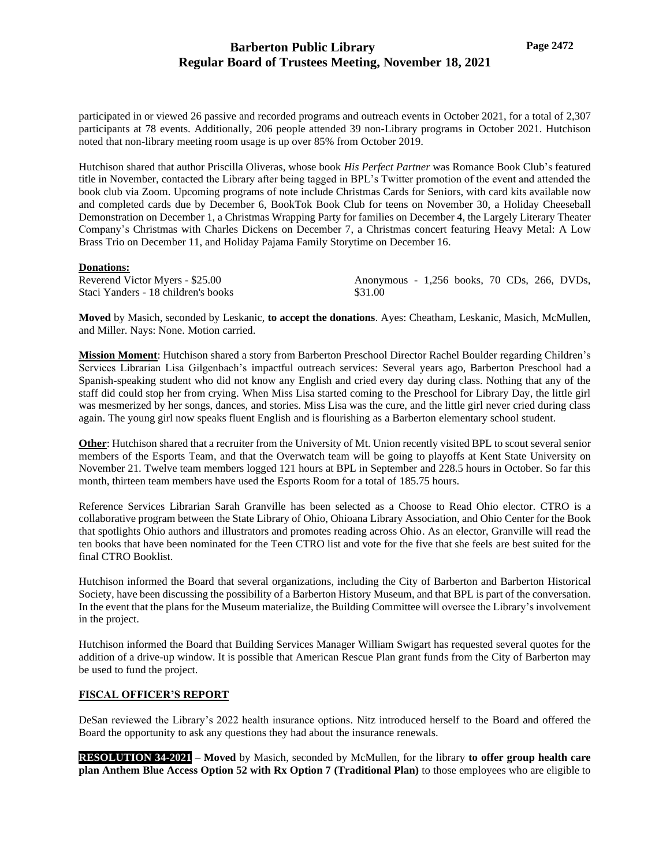participated in or viewed 26 passive and recorded programs and outreach events in October 2021, for a total of 2,307 participants at 78 events. Additionally, 206 people attended 39 non-Library programs in October 2021. Hutchison noted that non-library meeting room usage is up over 85% from October 2019.

Hutchison shared that author Priscilla Oliveras, whose book *His Perfect Partner* was Romance Book Club's featured title in November, contacted the Library after being tagged in BPL's Twitter promotion of the event and attended the book club via Zoom. Upcoming programs of note include Christmas Cards for Seniors, with card kits available now and completed cards due by December 6, BookTok Book Club for teens on November 30, a Holiday Cheeseball Demonstration on December 1, a Christmas Wrapping Party for families on December 4, the Largely Literary Theater Company's Christmas with Charles Dickens on December 7, a Christmas concert featuring Heavy Metal: A Low Brass Trio on December 11, and Holiday Pajama Family Storytime on December 16.

### **Donations:**

| Reverend Victor Myers - \$25.00     | Anonymous - 1,256 books, 70 CDs, 266, DVDs, |  |  |  |
|-------------------------------------|---------------------------------------------|--|--|--|
| Staci Yanders - 18 children's books | \$31.00                                     |  |  |  |

**Moved** by Masich, seconded by Leskanic, **to accept the donations**. Ayes: Cheatham, Leskanic, Masich, McMullen, and Miller. Nays: None. Motion carried.

**Mission Moment**: Hutchison shared a story from Barberton Preschool Director Rachel Boulder regarding Children's Services Librarian Lisa Gilgenbach's impactful outreach services: Several years ago, Barberton Preschool had a Spanish-speaking student who did not know any English and cried every day during class. Nothing that any of the staff did could stop her from crying. When Miss Lisa started coming to the Preschool for Library Day, the little girl was mesmerized by her songs, dances, and stories. Miss Lisa was the cure, and the little girl never cried during class again. The young girl now speaks fluent English and is flourishing as a Barberton elementary school student.

**Other**: Hutchison shared that a recruiter from the University of Mt. Union recently visited BPL to scout several senior members of the Esports Team, and that the Overwatch team will be going to playoffs at Kent State University on November 21. Twelve team members logged 121 hours at BPL in September and 228.5 hours in October. So far this month, thirteen team members have used the Esports Room for a total of 185.75 hours.

Reference Services Librarian Sarah Granville has been selected as a Choose to Read Ohio elector. CTRO is a collaborative program between the State Library of Ohio, Ohioana Library Association, and Ohio Center for the Book that spotlights Ohio authors and illustrators and promotes reading across Ohio. As an elector, Granville will read the ten books that have been nominated for the Teen CTRO list and vote for the five that she feels are best suited for the final CTRO Booklist.

Hutchison informed the Board that several organizations, including the City of Barberton and Barberton Historical Society, have been discussing the possibility of a Barberton History Museum, and that BPL is part of the conversation. In the event that the plans for the Museum materialize, the Building Committee will oversee the Library's involvement in the project.

Hutchison informed the Board that Building Services Manager William Swigart has requested several quotes for the addition of a drive-up window. It is possible that American Rescue Plan grant funds from the City of Barberton may be used to fund the project.

## **FISCAL OFFICER'S REPORT**

DeSan reviewed the Library's 2022 health insurance options. Nitz introduced herself to the Board and offered the Board the opportunity to ask any questions they had about the insurance renewals.

**RESOLUTION 34-2021** – **Moved** by Masich, seconded by McMullen, for the library **to offer group health care plan Anthem Blue Access Option 52 with Rx Option 7 (Traditional Plan)** to those employees who are eligible to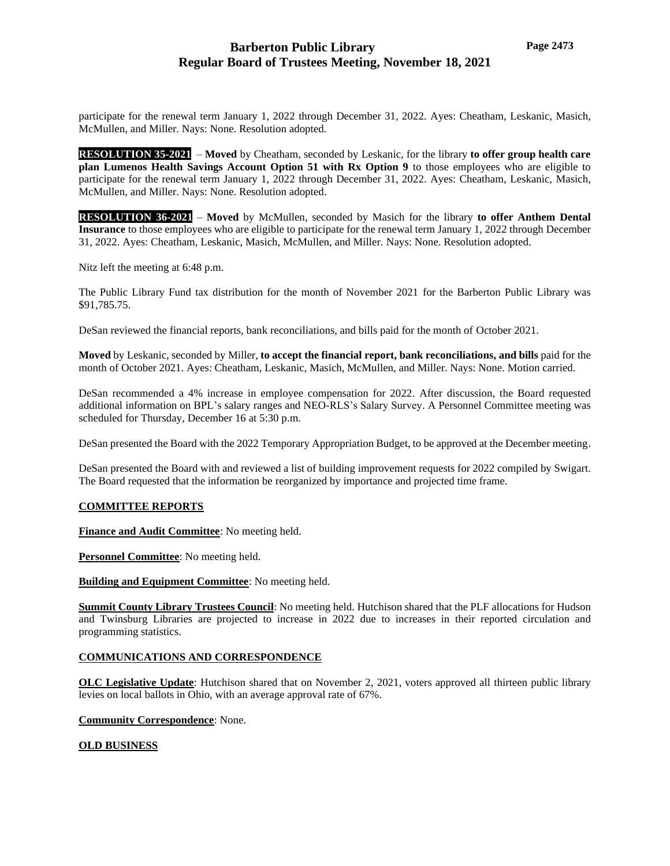## **Barberton Public Library Regular Board of Trustees Meeting, November 18, 2021**

participate for the renewal term January 1, 2022 through December 31, 2022. Ayes: Cheatham, Leskanic, Masich, McMullen, and Miller. Nays: None. Resolution adopted.

**RESOLUTION 35-2021** – Moved by Cheatham, seconded by Leskanic, for the library to offer group health care **plan Lumenos Health Savings Account Option 51 with Rx Option 9** to those employees who are eligible to participate for the renewal term January 1, 2022 through December 31, 2022. Ayes: Cheatham, Leskanic, Masich, McMullen, and Miller. Nays: None. Resolution adopted.

**RESOLUTION 36-2021** – **Moved** by McMullen, seconded by Masich for the library **to offer Anthem Dental Insurance** to those employees who are eligible to participate for the renewal term January 1, 2022 through December 31, 2022. Ayes: Cheatham, Leskanic, Masich, McMullen, and Miller. Nays: None. Resolution adopted.

Nitz left the meeting at 6:48 p.m.

The Public Library Fund tax distribution for the month of November 2021 for the Barberton Public Library was \$91,785.75.

DeSan reviewed the financial reports, bank reconciliations, and bills paid for the month of October 2021.

**Moved** by Leskanic, seconded by Miller, **to accept the financial report, bank reconciliations, and bills** paid for the month of October 2021. Ayes: Cheatham, Leskanic, Masich, McMullen, and Miller. Nays: None. Motion carried.

DeSan recommended a 4% increase in employee compensation for 2022. After discussion, the Board requested additional information on BPL's salary ranges and NEO-RLS's Salary Survey. A Personnel Committee meeting was scheduled for Thursday, December 16 at 5:30 p.m.

DeSan presented the Board with the 2022 Temporary Appropriation Budget, to be approved at the December meeting.

DeSan presented the Board with and reviewed a list of building improvement requests for 2022 compiled by Swigart. The Board requested that the information be reorganized by importance and projected time frame.

### **COMMITTEE REPORTS**

**Finance and Audit Committee**: No meeting held.

**Personnel Committee**: No meeting held.

**Building and Equipment Committee**: No meeting held.

**Summit County Library Trustees Council**: No meeting held. Hutchison shared that the PLF allocations for Hudson and Twinsburg Libraries are projected to increase in 2022 due to increases in their reported circulation and programming statistics.

### **COMMUNICATIONS AND CORRESPONDENCE**

**OLC Legislative Update**: Hutchison shared that on November 2, 2021, voters approved all thirteen public library levies on local ballots in Ohio, with an average approval rate of 67%.

**Community Correspondence**: None.

### **OLD BUSINESS**